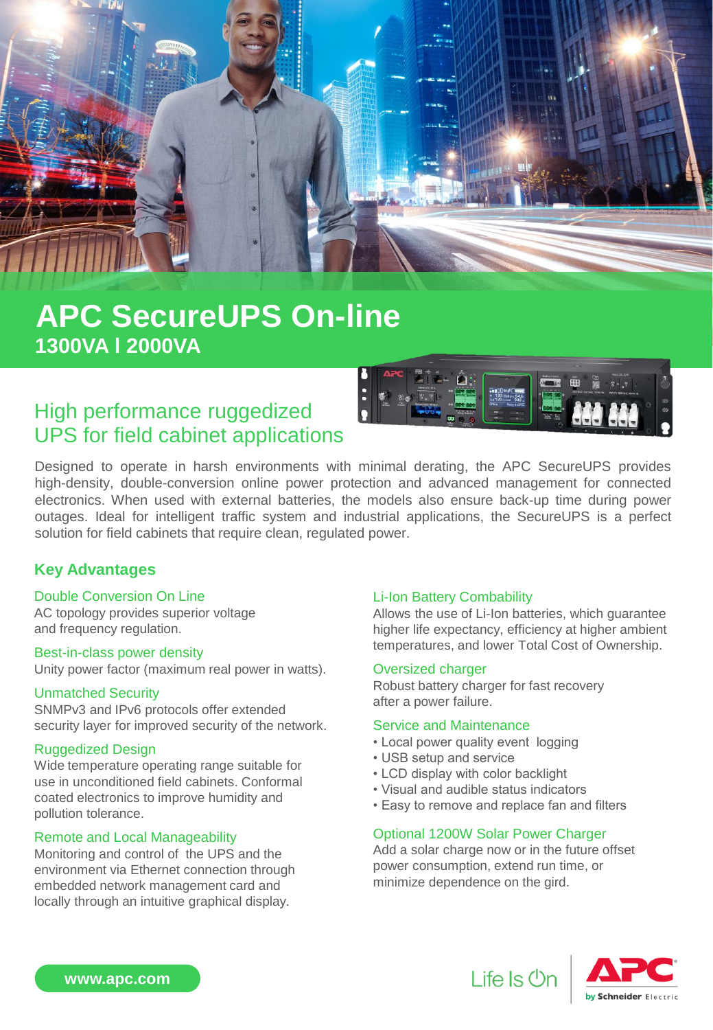

# **APC SecureUPS On-line 1300VA l 2000VA**

### High performance ruggedized UPS for field cabinet applications



Designed to operate in harsh environments with minimal derating, the APC SecureUPS provides high-density, double-conversion online power protection and advanced management for connected electronics. When used with external batteries, the models also ensure back-up time during power outages. Ideal for intelligent traffic system and industrial applications, the SecureUPS is a perfect solution for field cabinets that require clean, regulated power.

### **Key Advantages**

#### Double Conversion On Line

AC topology provides superior voltage and frequency regulation.

#### Best-in-class power density

Unity power factor (maximum real power in watts).

#### Unmatched Security

SNMPv3 and IPv6 protocols offer extended security layer for improved security of the network.

#### Ruggedized Design

Wide temperature operating range suitable for use in unconditioned field cabinets. Conformal coated electronics to improve humidity and pollution tolerance.

#### Remote and Local Manageability

Monitoring and control of the UPS and the environment via Ethernet connection through embedded network management card and locally through an intuitive graphical display.

#### Li-Ion Battery Combability

Allows the use of Li-Ion batteries, which guarantee higher life expectancy, efficiency at higher ambient temperatures, and lower Total Cost of Ownership.

#### Oversized charger

Robust battery charger for fast recovery after a power failure.

#### Service and Maintenance

- Local power quality event logging
- USB setup and service
- LCD display with color backlight
- Visual and audible status indicators
- Easy to remove and replace fan and filters

#### Optional 1200W Solar Power Charger

Add a solar charge now or in the future offset power consumption, extend run time, or minimize dependence on the gird.





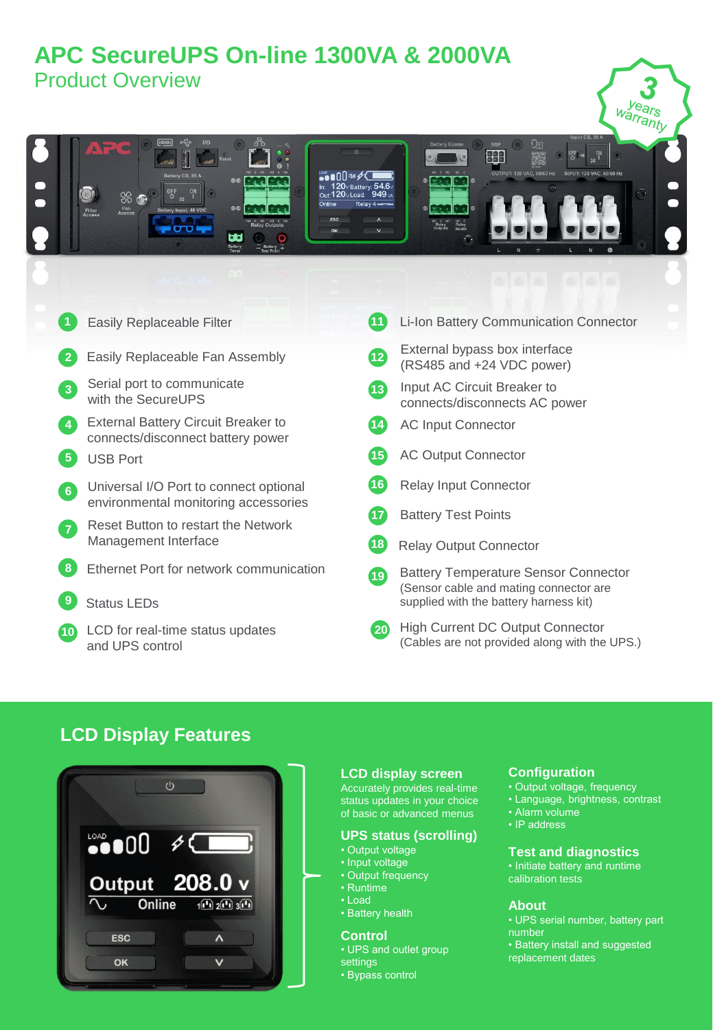## **APC SecureUPS On-line 1300VA & 2000VA**  Product Overview



### **LCD Display Features**



#### **LCD display screen**

Accurately provides real-time status updates in your choice of basic or advanced menus

#### **UPS status (scrolling)**

- Output voltage
- Input voltage
- Output frequency
- Runtime • Load
- Battery health

#### **Control**

- UPS and outlet group
- **settings** • Bypass control
- 

#### **Configuration**

- Output voltage, frequency
- Language, brightness, contrast
- Alarm volume • IP address

#### **Test and diagnostics**

• Initiate battery and runtime calibration tests

#### **About**

• UPS serial number, battery part number • Battery install and suggested replacement dates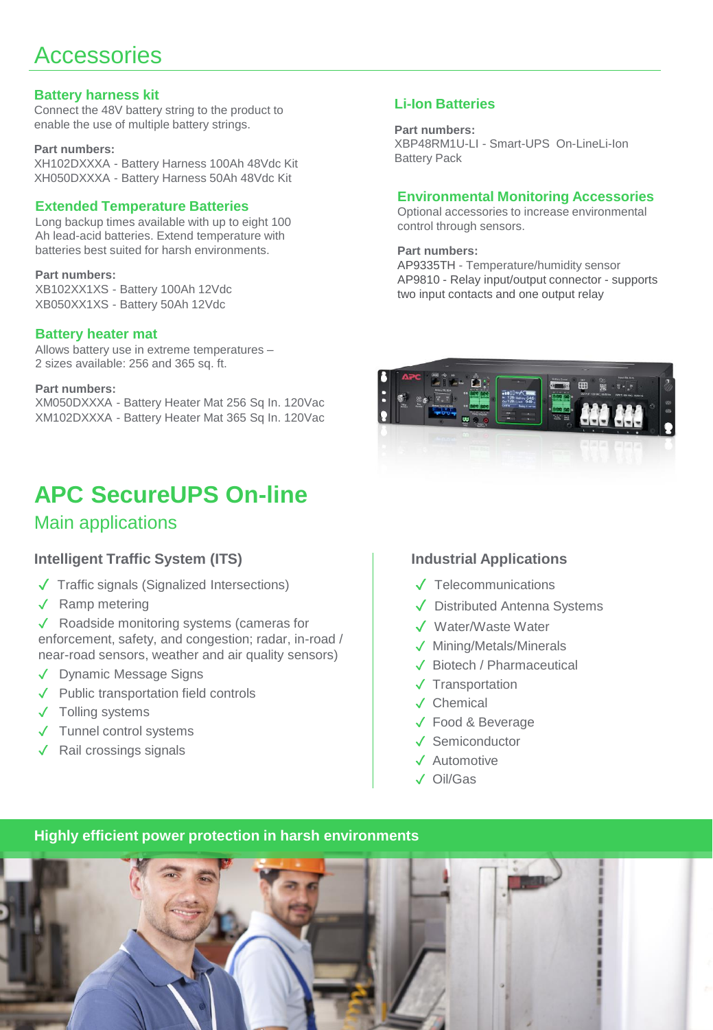# **Accessories**

#### **Battery harness kit**

Connect the 48V battery string to the product to enable the use of multiple battery strings.

#### **Part numbers:**

XH102DXXXA - Battery Harness 100Ah 48Vdc Kit XH050DXXXA - Battery Harness 50Ah 48Vdc Kit

#### **Extended Temperature Batteries**

Long backup times available with up to eight 100 Ah lead-acid batteries. Extend temperature with batteries best suited for harsh environments.

#### **Part numbers:**

XB102XX1XS - Battery 100Ah 12Vdc XB050XX1XS - Battery 50Ah 12Vdc

#### **Battery heater mat**

Allows battery use in extreme temperatures – 2 sizes available: 256 and 365 sq. ft.

#### **Part numbers:**

XM050DXXXA - Battery Heater Mat 256 Sq In. 120Vac XM102DXXXA - Battery Heater Mat 365 Sq In. 120Vac

# **APC SecureUPS On-line**

### Main applications

#### **Intelligent Traffic System (ITS)**

- ✓ Traffic signals (Signalized Intersections)
- ✓ Ramp metering
- ✓ Roadside monitoring systems (cameras for enforcement, safety, and congestion; radar, in-road / near-road sensors, weather and air quality sensors)
- ✓ Dynamic Message Signs
- ✓ Public transportation field controls
- ✓ Tolling systems
- ✓ Tunnel control systems
- ✓ Rail crossings signals

#### **Li-Ion Batteries**

**Part numbers:** XBP48RM1U-LI - Smart-UPS On-LineLi-Ion Battery Pack

#### **Environmental Monitoring Accessories**

Optional accessories to increase environmental control through sensors.

**Part numbers:**

AP9335TH - Temperature/humidity sensor AP9810 - Relay input/output connector - supports two input contacts and one output relay



#### **Industrial Applications**

- ✓ Telecommunications
- ✓ Distributed Antenna Systems
- ✓ Water/Waste Water
- ✓ Mining/Metals/Minerals
- ✓ Biotech / Pharmaceutical
- ✓ Transportation
- ✓ Chemical
- ✓ Food & Beverage
- ✓ Semiconductor
- ✓ Automotive
- ✓ Oil/Gas

#### **Highly efficient power protection in harsh environments**